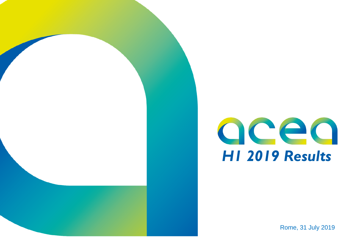Rome, 31 July 2019

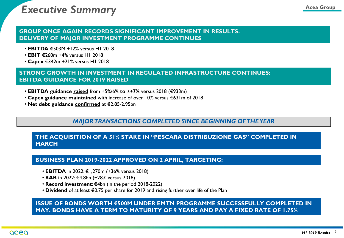## **Executive Summary** *Acea Group*

#### **GROUP ONCE AGAIN RECORDS SIGNIFICANT IMPROVEMENT IN RESULTS. DELIVERY OF MAJOR INVESTMENT PROGRAMME CONTINUES**

- **EBITDA €**503M +12% versus H1 2018
- **EBIT** €260m +4% versus H1 2018
- **Capex** €342m +21% versus H1 2018

### **STRONG GROWTH IN INVESTMENT IN REGULATED INFRASTRUCTURE CONTINUES: EBITDA GUIDANCE FOR 2019 RAISED**

- **EBITDA guidance raised** from +5%/6% **to ≥+7%** versus 2018 (€933m)
- **Capex guidance maintained** with increase of over 10% versus €631m of 2018
- **Net debt guidance confirmed** at €2.85-2.95bn

## *MAJOR TRANSACTIONS COMPLETED SINCE BEGINNING OF THE YEAR*

#### **THE ACQUISITION OF A 51% STAKE IN ''PESCARA DISTRIBUZIONE GAS'' COMPLETED IN MARCH**

#### **BUSINESS PLAN 2019-2022 APPROVED ON 2 APRIL, TARGETING:**

- **EBITDA** in 2022: €1,270m (+36% versus 2018)
- **RAB** in 2022: €4.8bn (+28% versus 2018)
- **Record investment**: €4bn (in the period 2018-2022)
- **Dividend** of at least €0.75 per share for 2019 and rising further over life of the Plan

#### **ISSUE OF BONDS WORTH €500M UNDER EMTN PROGRAMME SUCCESSFULLY COMPLETED IN MAY. BONDS HAVE A TERM TO MATURITY OF 9 YEARS AND PAY A FIXED RATE OF 1.75%**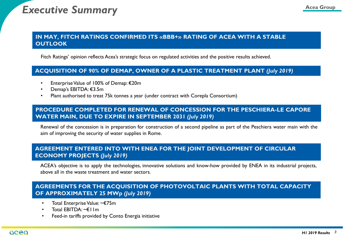## **Executive Summary** *Acea Group*

#### **IN MAY, FITCH RATINGS CONFIRMED ITS «BBB+» RATING OF ACEA WITH A STABLE OUTLOOK**

Fitch Ratings' opinion reflects Acea's strategic focus on regulated activities and the positive results achieved.

#### **ACQUISITION OF 90% OF DEMAP, OWNER OF A PLASTIC TREATMENT PLANT** *(July 2019)*

- EnterpriseValue of 100% of Demap: €20m
- Demap's EBITDA: €3.5m
- Plant authorised to treat 75k tonnes a year (under contract with Corepla Consortium)

#### **PROCEDURE COMPLETED FOR RENEWAL OF CONCESSION FOR THE PESCHIERA-LE CAPORE WATER MAIN, DUE TO EXPIRE IN SEPTEMBER 2031** *(July 2019)*

Renewal of the concession is in preparation for construction of a second pipeline as part of the Peschiera water main with the aim of improving the security of water supplies in Rome.

#### **AGREEMENT ENTERED INTO WITH ENEA FOR THE JOINT DEVELOPMENT OF CIRCULAR ECONOMY PROJECTS** *(July 2019)*

ACEA's objective is to apply the technologies, innovative solutions and know-how provided by ENEA in its industrial projects, above all in the waste treatment and water sectors.

### **AGREEMENTS FOR THE ACQUISITION OF PHOTOVOLTAIC PLANTS WITH TOTAL CAPACITY OF APPROXIMATELY 25 MWp** *(July 2019)*

- Total Enterprise Value: ~€75m
- Total EBITDA: ~€11m
- Feed-in tariffs provided by Conto Energia initiative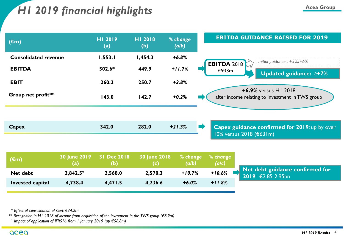## **Acea Group** *H1 2019 financial highlights*

| $(\epsilon m)$              | HI 2019<br>(a) | HI 2018<br>(b) | % change<br>(a/b) | <b>EBITDA GUIDANCE RAISED FOR 2019</b>                                                    |
|-----------------------------|----------------|----------------|-------------------|-------------------------------------------------------------------------------------------|
| <b>Consolidated revenue</b> | 1,553.1        | 1,454.3        | $+6.8%$           | Initial guidance : $+5\%$ /+6%                                                            |
| <b>EBITDA</b>               | 502.6*         | 449.9          | $+11.7%$          | <b>EBITDA 2018</b><br>€933m<br>Updated guidance: $\geq +7\%$                              |
| <b>EBIT</b>                 | 260.2          | 250.7          | $+3.8%$           |                                                                                           |
| Group net profit**          | 143.0          | 142.7          | $+0.2%$           | +6.9% versus H1 2018<br>after income relating to investment in TWS group                  |
|                             |                |                |                   |                                                                                           |
| Capex                       | 342.0          | 282.0          | $+21.3%$          | $\Rightarrow$<br>Capex guidance confirmed for 2019: up by over<br>10% versus 2018 (€631m) |
|                             |                |                |                   |                                                                                           |

| $(\epsilon m)$          | (a)               | 30 June 2019 31 Dec 2018<br>(b) | 30 June 2018<br>(C) | $%$ change<br>(a/b) | $%$ change<br>(a/c) |
|-------------------------|-------------------|---------------------------------|---------------------|---------------------|---------------------|
| Net debt                | $2,842.5^{\circ}$ | 2,568.0                         | 2,570.3             | $+10.7%$            | $+10.6%$            |
| <b>Invested capital</b> | 4,738.4           | 4,471.5                         | 4,236.6             | $+6.0%$             | $+11.8%$            |
|                         |                   |                                 |                     |                     |                     |

**Net debt guidance confirmed for 2019**: €2.85-2.95bn

*\* Effect of consolidation of Gori: €34.2m*

*\*\* Recognition in H1 2018 of income from acquisition of the investment in the TWS group (€8.9m)*

°*Impact of application of IFRS16 from 1 January 2019 (up €56.8m)*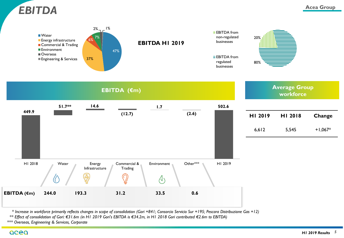



*\* Increase in workforce primarily reflects changes in scope of consolidation (Gori +841; Consorcio Servicio Sur +195; Pescara Distribuzione Gas +12)*

*\*\* Effect of consolidation of Gori: €31.6m (in H1 2019 Gori's EBITDA is €34.2m, in H1 2018 Gori contributed €2.6m to EBITDA)*

*\*\*\* Overseas, Engineering & Services, Corporate*

acea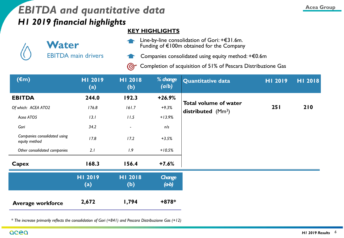## *EBITDA and quantitative data* **According to Acea Group** *Acea Group H1 2019 financial highlights*

### **KEY HIGHLIGHTS**

| Water                      |  |
|----------------------------|--|
| <b>EBITDA</b> main drivers |  |

Line-by-line consolidation of Gori: +€31.6m. Funding of €100m obtained for the Company

Companies consolidated using equity method: +€0.6m

Completion of acquisition of 51% of Pescara Distribuzione Gas $\odot$ 

| $(\epsilon m)$                                | HI 2019<br>(a) | HI 2018<br>(b)           | % change<br>(a/b) | Quantitative data                                   | HI 2019 | HI 2018 |
|-----------------------------------------------|----------------|--------------------------|-------------------|-----------------------------------------------------|---------|---------|
| <b>EBITDA</b>                                 | 244.0          | 192.3                    | $+26.9%$          |                                                     |         |         |
| Of which: ACEA ATO2                           | 176.8          | 161.7                    | $+9.3%$           | <b>Total volume of water</b><br>distributed $(Mm3)$ | 251     | 210     |
| Acea ATO5                                     | 13.1           | 11.5                     | $+13.9%$          |                                                     |         |         |
| Gori                                          | 34.2           | $\overline{\phantom{a}}$ | n/s               |                                                     |         |         |
| Companies consolidated using<br>equity method | 17.8           | 17.2                     | $+3.5%$           |                                                     |         |         |
| Other consolidated companies                  | 2.1            | 1.9                      | $+10.5%$          |                                                     |         |         |
| <b>Capex</b>                                  | 168.3          | 156.4                    | $+7.6%$           |                                                     |         |         |
|                                               | HI 2019<br>(a) | HI 2018<br>(b)           | Change<br>(ab)    |                                                     |         |         |
| <b>Average workforce</b>                      | 2,672          | 1,794                    | $+878*$           |                                                     |         |         |

*\* The increase primarily reflects the consolidation of Gori (+841) and Pescara Distribuzione Gas (+12)*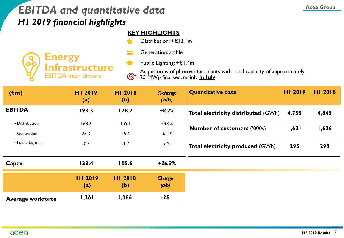## *EBITDA and quantitative data H1 2019 financial highlights*

## **KEY HIGHLIGHTS**

 $\blacktriangleleft$ 

 $\odot$ 

Distribution: +€13.1m



Generation: stable

Public Lighting: +€1.4m

Acquisitions of photovoltaic plants with total capacity of approximately 25 MWp finalised, mainly **in July**

| $(\epsilon m)$           | HI 2019<br>(a) | HI 2018<br>(b) | % change<br>(a/b)     | <b>Quantitative data</b>                   | HI 2019 | HI 2018 |
|--------------------------|----------------|----------------|-----------------------|--------------------------------------------|---------|---------|
| <b>EBITDA</b>            | 193.3          | 178.7          | $+8.2%$               | <b>Total electricity distributed (GWh)</b> | 4,755   | 4,845   |
| - Distribution           | 168.2          | 155.1          | $+8.4%$               | <b>Number of customers ('000s)</b>         | 1,631   | 1,626   |
| - Generation             | 25.3           | 25.4           | $-0.4%$               |                                            |         |         |
| - Public Lighting        | $-0.3$         | $-1.7$         | n/s                   | <b>Total electricity produced (GWh)</b>    | 295     | 298     |
| Capex                    | 133.4          | 105.6          | $+26.3%$              |                                            |         |         |
|                          | HI 2019<br>(a) | HI 2018<br>(b) | <b>Change</b><br>(ab) |                                            |         |         |
| <b>Average workforce</b> | 1,361          | 1,386          | $-25$                 |                                            |         |         |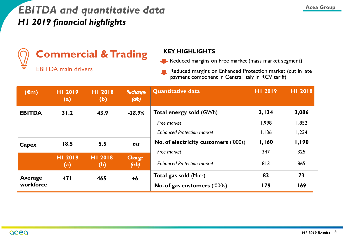## *EBITDA and quantitative data H1 2019 financial highlights*



## **Commercial & Trading KEY HIGHLIGHTS**

EBITDA main drivers

Reduced margins on Free market (mass market segment)

Reduced margins on Enhanced Protection market (cut in late payment component in Central Italy in RCV tariff)

| $(\epsilon m)$ | HI 2019<br>$\left( \mathrm{a}\right)$ | HI 2018<br>(b)               | % change<br>(d b) | <b>Quantitative data</b>             | HI 2019 | HI 2018      |
|----------------|---------------------------------------|------------------------------|-------------------|--------------------------------------|---------|--------------|
| <b>EBITDA</b>  | 31.2                                  | 43.9                         | $-28.9%$          | <b>Total energy sold (GWh)</b>       | 3,134   | 3,086        |
|                |                                       |                              |                   | Free market                          | 1,998   | 1,852        |
|                |                                       |                              |                   | <b>Enhanced Protection market</b>    | 1,136   | 1,234        |
| Capex          | 18.5                                  | 5.5                          | n/s               | No. of electricity customers ('000s) | 1,160   | <b>I,190</b> |
|                |                                       |                              |                   | Free market                          | 347     | 325          |
|                | HI 2019<br>(a)                        | HI 2018<br>(b)               | Change<br>(ab)    | <b>Enhanced Protection market</b>    | 813     | 865          |
| <b>Average</b> | 47 I                                  | 465                          | $+6$              | <b>Total gas sold</b> ( $Mm3$ )      | 83      | 73           |
| workforce      |                                       | No. of gas customers ('000s) | 179               | 169                                  |         |              |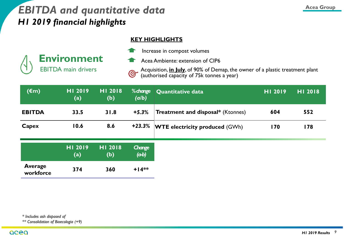## *EBITDA and quantitative data H1 2019 financial highlights*

#### **KEY HIGHLIGHTS**



Increase in compost volumes

Acea Ambiente: extension of CIP6

Acquisition, **in July**, of 90% of Demap, the owner of a plastic treatment plant  $\bigodot$ (authorised capacity of 75k tonnes a year)

| $(\epsilon m)$ | HI 2019<br>(a) | HI 2018<br>(b) | (a/b) | <b>% change</b> Quantitative data        | HI 2019 | HI 2018 |
|----------------|----------------|----------------|-------|------------------------------------------|---------|---------|
| <b>EBITDA</b>  | 33.5           | 31.8           | +5.3% | <b>Treatment and disposal*</b> (Ktonnes) | 604     | 552     |
| Capex          | 10.6           | 8.6            |       | $+23.3\%$ WTE electricity produced (GWh) | 170     | 178     |

|                             | <b>HI 2019</b> | <b>HI 2018</b> | Change  |
|-----------------------------|----------------|----------------|---------|
|                             | (a)            | (b)            | (ab)    |
| <b>Average</b><br>workforce | 374            | 360            | $+14**$ |

*\*\* Consolidation of Bioecologia (+9)*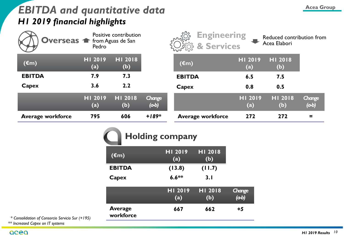## **EBITDA and quantitative data** *Acea Group H1 2019 financial highlights*

| Overseas <del>1</del> from Aguas de San | Pedro                                   | Positive contribution |                       | <b>Engineering</b><br>mon<br>& Services |                | Reduced contribution from<br>Acea Elabori |                       |
|-----------------------------------------|-----------------------------------------|-----------------------|-----------------------|-----------------------------------------|----------------|-------------------------------------------|-----------------------|
| $(\epsilon m)$                          | HI 2019<br>(a)                          | HI 2018<br>(b)        |                       | $(\epsilon m)$                          | HI 2019<br>(a) | HI 2018<br>(b)                            |                       |
| <b>EBITDA</b>                           | 7.9                                     | 7.3                   |                       | <b>EBITDA</b>                           | 6.5            | 7.5                                       |                       |
| Capex                                   | 3.6                                     | 2.2                   |                       | Capex                                   | 0.8            | 0.5                                       |                       |
|                                         | HI 2019<br>$\qquad \qquad \textbf{(a)}$ | HI 2018<br>(b)        | <b>Change</b><br>(ab) |                                         | HI 2019<br>(a) | HI 2018<br>(b)                            | <b>Change</b><br>(ab) |
| <b>Average workforce</b>                | 795                                     | 606                   | $+189*$               | <b>Average workforce</b>                | 272            | 272                                       | $\equiv$              |

|  |  | Holding company |
|--|--|-----------------|
|--|--|-----------------|

| $(\epsilon m)$              | HI 2019<br>(a) | HI 2018<br>(b)        |                       |
|-----------------------------|----------------|-----------------------|-----------------------|
| <b>EBITDA</b>               | (13.8)         | (11.7)                |                       |
| Capex                       | $6.6**$        | 3.1                   |                       |
|                             | HI 2019<br>(a) | <b>HI 2018</b><br>(b) | <b>Change</b><br>(ab) |
| <b>Average</b><br>workforce | 667            | 662                   | $+5$                  |

*\* Consolidation of Consorcio Servicio Sur (+195) \*\* Increased Capex on IT systems*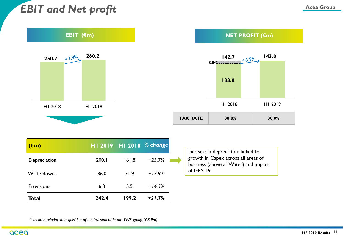## *EBIT and Net profit*



| $(\epsilon m)$    |       | HI 2019 HI 2018 % change |          |  |
|-------------------|-------|--------------------------|----------|--|
| Depreciation      | 200.1 | 161.8                    | $+23.7%$ |  |
| Write-downs       | 36.0  | 31.9                     | $+12.9%$ |  |
| <b>Provisions</b> | 6.3   | 5.5                      | $+14.5%$ |  |
| <b>Total</b>      | 242.4 | 199.2                    | $+21.7%$ |  |

Increase in depreciation linked to growth in Capex across all areas of business (above allWater) and impact of IFRS 16

*\* Income relating to acquisition of the investment in the TWS group (€8.9m)*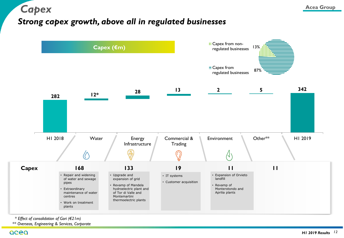*Capex*



*\* Effect of consolidation of Gori (€21m)*

*\*\* Overseas, Engineering & Services, Corporate* 

acea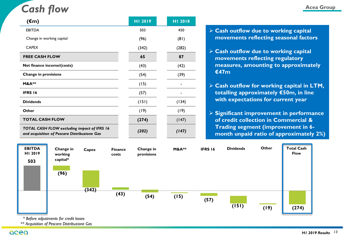## *Cash flow*

| $(\epsilon m)$                                                                              | HI 2019 | HI 2018 |
|---------------------------------------------------------------------------------------------|---------|---------|
| <b>EBITDA</b>                                                                               | 503     | 450     |
| Change in working capital                                                                   | (96)    | (81)    |
| <b>CAPEX</b>                                                                                | (342)   | (282)   |
| <b>FREE CASH FLOW</b>                                                                       | 65      | 87      |
| Net finance income/(costs)                                                                  | (43)    | (42)    |
| <b>Change in provisions</b>                                                                 | (54)    | (39)    |
| <b>M&amp;A**</b>                                                                            | (15)    |         |
| <b>IFRS 16</b>                                                                              | (57)    |         |
| <b>Dividends</b>                                                                            | (151)   | (134)   |
| Other                                                                                       | (19)    | (19)    |
| <b>TOTAL CASH FLOW</b>                                                                      | (274)   | (147)   |
| TOTAL CASH FLOW excluding impact of IFRS 16<br>and acquisition of Pescara Distribuzione Gas | (202)   | (147)   |

#### **Acea Group**

- **Cash outflow due to working capital movements reflecting seasonal factors**
- **Cash outflow due to working capital movements reflecting regulatory measures, amounting to approximately €47m**
- **Cash outflow for working capital in LTM, totalling approximately €50m, in line with expectations for current year**
- **Significant improvement in performance of credit collection in Commercial & Trading segment (improvement in 6 month unpaid ratio of approximately 2%)**



*\* Before adjustments for credit losses*

*\*\* Acquisition of Pescara Distribuzione Gas*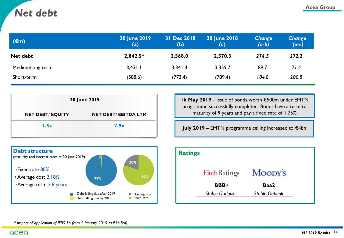## **Acea Group** *Net debt*

| $(\epsilon m)$   | <b>30 June 2019</b><br>(a) | 31 Dec 2018<br>(b) | <b>30 June 2018</b><br>(c) | <b>Change</b><br>$(a-b)$ | <b>Change</b><br>$(a-c)$ |
|------------------|----------------------------|--------------------|----------------------------|--------------------------|--------------------------|
| Net debt         | $2,842.5*$                 | 2,568.0            | 2,570.3                    | 274.5                    | 272.2                    |
| Medium/long-term | 3,431.1                    | 3,341.4            | 3,359.7                    | 89.7                     | 71.4                     |
| Short-term       | (588.6)                    | (773.4)            | (789.4)                    | 184.8                    | 200.8                    |

| 30 June 2019            |                             |  |  |
|-------------------------|-----------------------------|--|--|
| <b>NET DEBT/ EQUITY</b> | <b>NET DEBT/ EBITDA LTM</b> |  |  |
| 1.5x                    | 2.9x                        |  |  |

**16 May 2019** - Issue of bonds worth €500m under EMTN programme successfully completed. Bonds have a term to maturity of 9 years and pay a fixed rate of 1.75%

**July 2019 –** EMTN programme ceiling increased to €4bn



| <b>Ratings</b> |                       |                       |
|----------------|-----------------------|-----------------------|
|                | <b>FitchRatings</b>   | Moody's               |
|                | BBB+                  | Baa2                  |
|                | <b>Stable Outlook</b> | <b>Stable Outlook</b> |

*\* Impact of application of IFRS 16 from 1 January 2019 (+€56.8m)*

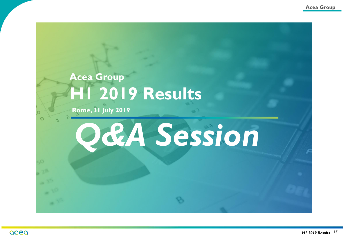## **Acea Group H1 2019 Results**

**Rome, 31 July 2019**

# *Q&A Session*